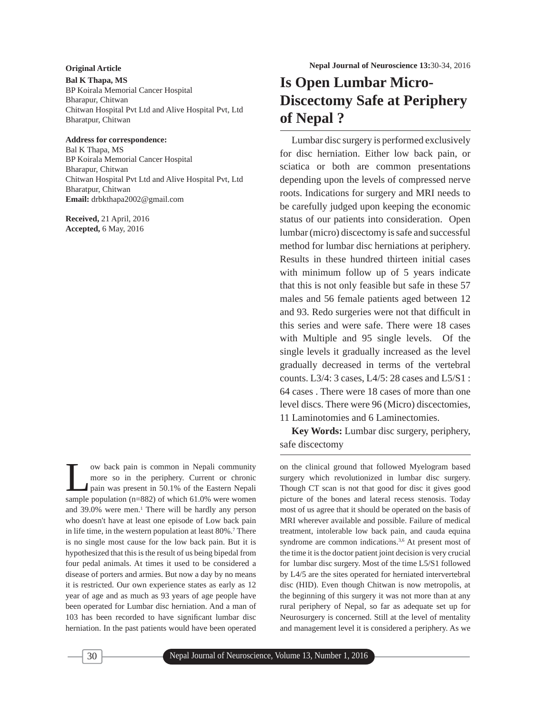**Bal K Thapa, MS** BP Koirala Memorial Cancer Hospital Bharapur, Chitwan Chitwan Hospital Pvt Ltd and Alive Hospital Pvt, Ltd Bharatpur, Chitwan

## **Address for correspondence:**

Bal K Thapa, MS BP Koirala Memorial Cancer Hospital Bharapur, Chitwan Chitwan Hospital Pvt Ltd and Alive Hospital Pvt, Ltd Bharatpur, Chitwan **Email:** drbkthapa2002@gmail.com

**Received,** 21 April, 2016 **Accepted,** 6 May, 2016

I ow back pain is common in Nepali community<br>
more so in the periphery. Current or chronic<br>
pain was present in 50.1% of the Eastern Nepali<br>
sample population (n-882) of which 61.0% were were more so in the periphery. Current or chronic sample population (n=882) of which 61.0% were women and 39.0% were men.<sup>1</sup> There will be hardly any person who doesn't have at least one episode of Low back pain in life time, in the western population at least 80%.<sup>7</sup> There is no single most cause for the low back pain. But it is hypothesized that this is the result of us being bipedal from four pedal animals. At times it used to be considered a disease of porters and armies. But now a day by no means it is restricted. Our own experience states as early as 12 year of age and as much as 93 years of age people have been operated for Lumbar disc herniation. And a man of 103 has been recorded to have significant lumbar disc herniation. In the past patients would have been operated

# **Is Open Lumbar Micro-Discectomy Safe at Periphery of Nepal ?**

Lumbar disc surgery is performed exclusively for disc herniation. Either low back pain, or sciatica or both are common presentations depending upon the levels of compressed nerve roots. Indications for surgery and MRI needs to be carefully judged upon keeping the economic status of our patients into consideration. Open lumbar (micro) discectomy is safe and successful method for lumbar disc herniations at periphery. Results in these hundred thirteen initial cases with minimum follow up of 5 years indicate that this is not only feasible but safe in these 57 males and 56 female patients aged between 12 and 93. Redo surgeries were not that difficult in this series and were safe. There were 18 cases with Multiple and 95 single levels. Of the single levels it gradually increased as the level gradually decreased in terms of the vertebral counts. L3/4: 3 cases, L4/5: 28 cases and L5/S1 : 64 cases . There were 18 cases of more than one level discs. There were 96 (Micro) discectomies, 11 Laminotomies and 6 Laminectomies.

**Key Words:** Lumbar disc surgery, periphery, safe discectomy

on the clinical ground that followed Myelogram based surgery which revolutionized in lumbar disc surgery. Though CT scan is not that good for disc it gives good picture of the bones and lateral recess stenosis. Today most of us agree that it should be operated on the basis of MRI wherever available and possible. Failure of medical treatment, intolerable low back pain, and cauda equina syndrome are common indications.<sup>3,6</sup> At present most of the time it is the doctor patient joint decision is very crucial for lumbar disc surgery. Most of the time L5/S1 followed by L4/5 are the sites operated for herniated intervertebral disc (HID). Even though Chitwan is now metropolis, at the beginning of this surgery it was not more than at any rural periphery of Nepal, so far as adequate set up for Neurosurgery is concerned. Still at the level of mentality and management level it is considered a periphery. As we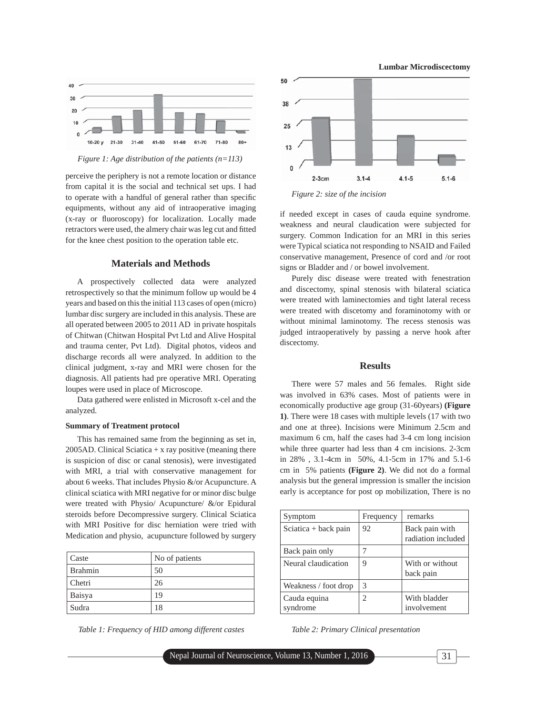

*Figure 1: Age distribution of the patients (n=113)*

perceive the periphery is not a remote location or distance from capital it is the social and technical set ups. I had to operate with a handful of general rather than specific equipments, without any aid of intraoperative imaging (x-ray or fluoroscopy) for localization. Locally made retractors were used, the almery chair was leg cut and fitted for the knee chest position to the operation table etc.

## **Materials and Methods**

A prospectively collected data were analyzed retrospectively so that the minimum follow up would be 4 years and based on this the initial 113 cases of open (micro) lumbar disc surgery are included in this analysis. These are all operated between 2005 to 2011 AD in private hospitals of Chitwan (Chitwan Hospital Pvt Ltd and Alive Hospital and trauma center, Pvt Ltd). Digital photos, videos and discharge records all were analyzed. In addition to the clinical judgment, x-ray and MRI were chosen for the diagnosis. All patients had pre operative MRI. Operating loupes were used in place of Microscope.

Data gathered were enlisted in Microsoft x-cel and the analyzed.

#### **Summary of Treatment protocol**

This has remained same from the beginning as set in, 2005AD. Clinical Sciatica  $+x$  ray positive (meaning there is suspicion of disc or canal stenosis), were investigated with MRI, a trial with conservative management for about 6 weeks. That includes Physio &/or Acupuncture. A clinical sciatica with MRI negative for or minor disc bulge were treated with Physio/ Acupuncture/ &/or Epidural steroids before Decompressive surgery. Clinical Sciatica with MRI Positive for disc herniation were tried with Medication and physio, acupuncture followed by surgery

| Caste          | No of patients |
|----------------|----------------|
| <b>Brahmin</b> | 50             |
| Chetri         | 26             |
| Baisya         | 19             |
| Sudra          | 18             |

*Table 1: Frequency of HID among different castes*



**Lumbar Microdiscectomy**

*Figure 2: size of the incision*

if needed except in cases of cauda equine syndrome. weakness and neural claudication were subjected for surgery. Common Indication for an MRI in this series were Typical sciatica not responding to NSAID and Failed conservative management, Presence of cord and /or root signs or Bladder and / or bowel involvement.

Purely disc disease were treated with fenestration and discectomy, spinal stenosis with bilateral sciatica were treated with laminectomies and tight lateral recess were treated with discetomy and foraminotomy with or without minimal laminotomy. The recess stenosis was judged intraoperatively by passing a nerve hook after discectomy.

#### **Results**

There were 57 males and 56 females. Right side was involved in 63% cases. Most of patients were in economically productive age group (31-60years) **(Figure 1)**. There were 18 cases with multiple levels (17 with two and one at three). Incisions were Minimum 2.5cm and maximum 6 cm, half the cases had 3-4 cm long incision while three quarter had less than 4 cm incisions. 2-3cm in 28% , 3.1-4cm in 50%, 4.1-5cm in 17% and 5.1-6 cm in 5% patients **(Figure 2)**. We did not do a formal analysis but the general impression is smaller the incision early is acceptance for post op mobilization, There is no

| Symptom                  | Frequency | remarks                              |
|--------------------------|-----------|--------------------------------------|
| Sciatica + back pain     | 92        | Back pain with<br>radiation included |
| Back pain only           |           |                                      |
| Neural claudication      | 9         | With or without<br>back pain         |
| Weakness / foot drop     | 3         |                                      |
| Cauda equina<br>syndrome | 2         | With bladder<br>involvement          |

*Table 2: Primary Clinical presentation*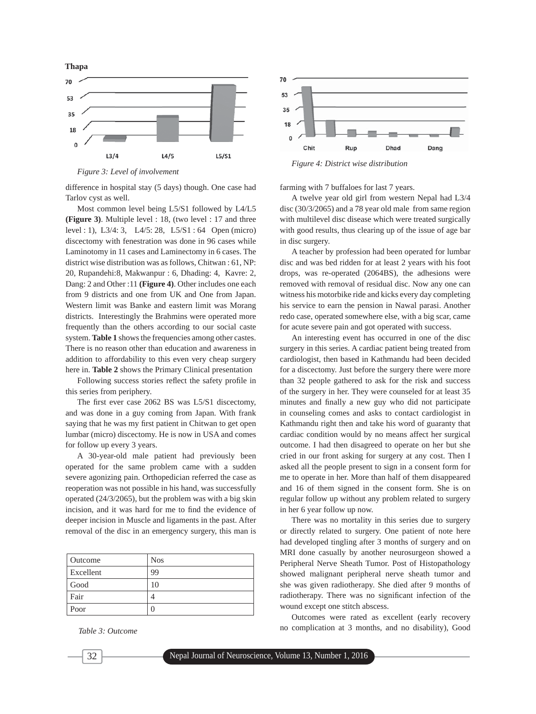

*Figure 3: Level of involvement*

difference in hospital stay (5 days) though. One case had Tarlov cyst as well.

Most common level being L5/S1 followed by L4/L5 **(Figure 3)**. Multiple level : 18, (two level : 17 and three level : 1), L3/4: 3, L4/5: 28, L5/S1 : 64 Open (micro) discectomy with fenestration was done in 96 cases while Laminotomy in 11 cases and Laminectomy in 6 cases. The district wise distribution was as follows, Chitwan : 61, NP: 20, Rupandehi:8, Makwanpur : 6, Dhading: 4, Kavre: 2, Dang: 2 and Other :11 **(Figure 4)**. Other includes one each from 9 districts and one from UK and One from Japan. Western limit was Banke and eastern limit was Morang districts. Interestingly the Brahmins were operated more frequently than the others according to our social caste system. **Table 1** shows the frequencies among other castes. There is no reason other than education and awareness in addition to affordability to this even very cheap surgery here in. **Table 2** shows the Primary Clinical presentation

Following success stories reflect the safety profile in this series from periphery.

The first ever case  $2062$  BS was  $L5/S1$  discectomy, and was done in a guy coming from Japan. With frank saying that he was my first patient in Chitwan to get open lumbar (micro) discectomy. He is now in USA and comes for follow up every 3 years.

A 30-year-old male patient had previously been operated for the same problem came with a sudden severe agonizing pain. Orthopedician referred the case as reoperation was not possible in his hand, was successfully operated (24/3/2065), but the problem was with a big skin incision, and it was hard for me to find the evidence of deeper incision in Muscle and ligaments in the past. After removal of the disc in an emergency surgery, this man is

| Outcome   | <b>Nos</b> |
|-----------|------------|
| Excellent | 99         |
| Good      | 10         |
| Fair      |            |
| Poor      |            |

*Table 3: Outcome*



farming with 7 buffaloes for last 7 years.

A twelve year old girl from western Nepal had L3/4 disc (30/3/2065) and a 78 year old male from same region with multilevel disc disease which were treated surgically with good results, thus clearing up of the issue of age bar in disc surgery.

A teacher by profession had been operated for lumbar disc and was bed ridden for at least 2 years with his foot drops, was re-operated (2064BS), the adhesions were removed with removal of residual disc. Now any one can witness his motorbike ride and kicks every day completing his service to earn the pension in Nawal parasi. Another redo case, operated somewhere else, with a big scar, came for acute severe pain and got operated with success.

An interesting event has occurred in one of the disc surgery in this series. A cardiac patient being treated from cardiologist, then based in Kathmandu had been decided for a discectomy. Just before the surgery there were more than 32 people gathered to ask for the risk and success of the surgery in her. They were counseled for at least 35 minutes and finally a new guy who did not participate in counseling comes and asks to contact cardiologist in Kathmandu right then and take his word of guaranty that cardiac condition would by no means affect her surgical outcome. I had then disagreed to operate on her but she cried in our front asking for surgery at any cost. Then I asked all the people present to sign in a consent form for me to operate in her. More than half of them disappeared and 16 of them signed in the consent form. She is on regular follow up without any problem related to surgery in her 6 year follow up now.

There was no mortality in this series due to surgery or directly related to surgery. One patient of note here had developed tingling after 3 months of surgery and on MRI done casually by another neurosurgeon showed a Peripheral Nerve Sheath Tumor. Post of Histopathology showed malignant peripheral nerve sheath tumor and she was given radiotherapy. She died after 9 months of radiotherapy. There was no significant infection of the wound except one stitch abscess.

Outcomes were rated as excellent (early recovery no complication at 3 months, and no disability), Good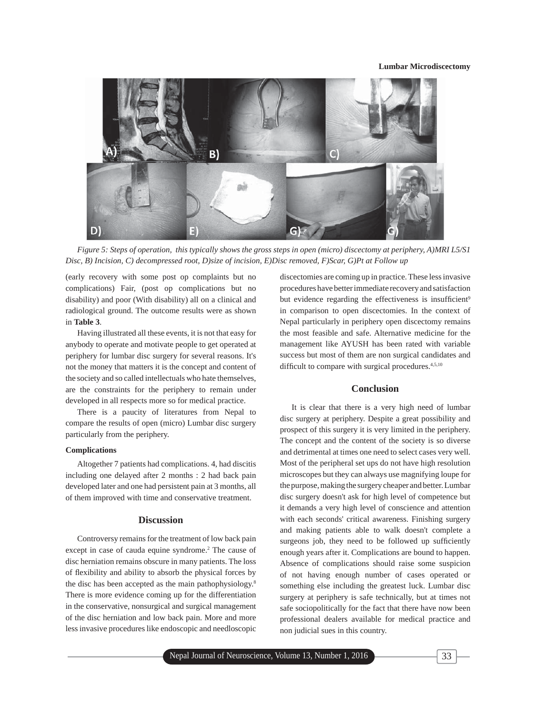

*Figure 5: Steps of operation, this typically shows the gross steps in open (micro) discectomy at periphery, A)MRI L5/S1 Disc, B) Incision, C) decompressed root, D)size of incision, E)Disc removed, F)Scar, G)Pt at Follow up*

(early recovery with some post op complaints but no complications) Fair, (post op complications but no disability) and poor (With disability) all on a clinical and radiological ground. The outcome results were as shown in **Table 3**.

Having illustrated all these events, it is not that easy for anybody to operate and motivate people to get operated at periphery for lumbar disc surgery for several reasons. It's not the money that matters it is the concept and content of the society and so called intellectuals who hate themselves, are the constraints for the periphery to remain under developed in all respects more so for medical practice.

There is a paucity of literatures from Nepal to compare the results of open (micro) Lumbar disc surgery particularly from the periphery.

#### **Complications**

Altogether 7 patients had complications. 4, had discitis including one delayed after 2 months : 2 had back pain developed later and one had persistent pain at 3 months, all of them improved with time and conservative treatment.

#### **Discussion**

Controversy remains for the treatment of low back pain except in case of cauda equine syndrome.<sup>2</sup> The cause of disc herniation remains obscure in many patients. The loss of flexibility and ability to absorb the physical forces by the disc has been accepted as the main pathophysiology.8 There is more evidence coming up for the differentiation in the conservative, nonsurgical and surgical management of the disc herniation and low back pain. More and more less invasive procedures like endoscopic and needloscopic

discectomies are coming up in practice. These less invasive procedures have better immediate recovery and satisfaction but evidence regarding the effectiveness is insufficient<sup>9</sup> in comparison to open discectomies. In the context of Nepal particularly in periphery open discectomy remains the most feasible and safe. Alternative medicine for the management like AYUSH has been rated with variable success but most of them are non surgical candidates and difficult to compare with surgical procedures.<sup>4,5,10</sup>

# **Conclusion**

It is clear that there is a very high need of lumbar disc surgery at periphery. Despite a great possibility and prospect of this surgery it is very limited in the periphery. The concept and the content of the society is so diverse and detrimental at times one need to select cases very well. Most of the peripheral set ups do not have high resolution microscopes but they can always use magnifying loupe for the purpose, making the surgery cheaper and better. Lumbar disc surgery doesn't ask for high level of competence but it demands a very high level of conscience and attention with each seconds' critical awareness. Finishing surgery and making patients able to walk doesn't complete a surgeons job, they need to be followed up sufficiently enough years after it. Complications are bound to happen. Absence of complications should raise some suspicion of not having enough number of cases operated or something else including the greatest luck. Lumbar disc surgery at periphery is safe technically, but at times not safe sociopolitically for the fact that there have now been professional dealers available for medical practice and non judicial sues in this country.